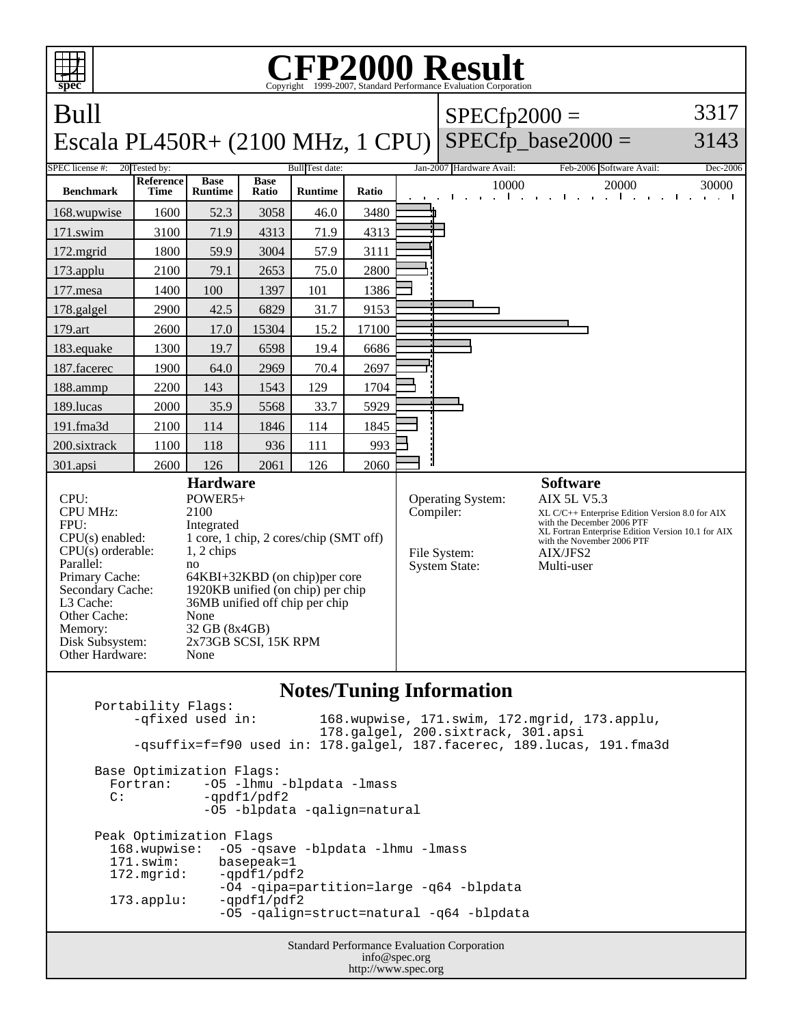| <b>CFP2000 Result</b><br>Copyright ©1999-2007, Standard Performance Evaluation Cornoration                                                                                                                                                                                                                                                                                                                                                        |                                   |                |                                                                                                                                                                                                                                     |                        |                      |                          |                                                                        |                                                                                                                                                                                                                                      |                                        |  |  |
|---------------------------------------------------------------------------------------------------------------------------------------------------------------------------------------------------------------------------------------------------------------------------------------------------------------------------------------------------------------------------------------------------------------------------------------------------|-----------------------------------|----------------|-------------------------------------------------------------------------------------------------------------------------------------------------------------------------------------------------------------------------------------|------------------------|----------------------|--------------------------|------------------------------------------------------------------------|--------------------------------------------------------------------------------------------------------------------------------------------------------------------------------------------------------------------------------------|----------------------------------------|--|--|
| spec<br>Bull                                                                                                                                                                                                                                                                                                                                                                                                                                      |                                   |                |                                                                                                                                                                                                                                     |                        |                      | $SPECfp2000 =$           |                                                                        | 3317                                                                                                                                                                                                                                 |                                        |  |  |
| Escala PL450R+ (2100 MHz, 1 CPU)                                                                                                                                                                                                                                                                                                                                                                                                                  |                                   |                |                                                                                                                                                                                                                                     |                        | $SPECfp\_base2000 =$ | 3143                     |                                                                        |                                                                                                                                                                                                                                      |                                        |  |  |
| SPEC license #:                                                                                                                                                                                                                                                                                                                                                                                                                                   | 20 Tested by:<br><b>Reference</b> | <b>Base</b>    | <b>Base</b>                                                                                                                                                                                                                         | <b>Bull</b> Test date: |                      | Jan-2007 Hardware Avail: | Feb-2006 Software Avail:                                               | Dec-2006                                                                                                                                                                                                                             |                                        |  |  |
| <b>Benchmark</b>                                                                                                                                                                                                                                                                                                                                                                                                                                  | Time                              | <b>Runtime</b> | Ratio                                                                                                                                                                                                                               | <b>Runtime</b>         | Ratio                |                          | 10000<br>$1 - 1 - 1$                                                   | 20000<br>and the contract of the<br>$\mathbf{r} = \mathbf{r} + \mathbf{r}$ .                                                                                                                                                         | 30000<br><b>College</b><br>and a state |  |  |
| 168.wupwise                                                                                                                                                                                                                                                                                                                                                                                                                                       | 1600                              | 52.3           | 3058                                                                                                                                                                                                                                | 46.0                   | 3480                 |                          |                                                                        |                                                                                                                                                                                                                                      |                                        |  |  |
| 171.swim                                                                                                                                                                                                                                                                                                                                                                                                                                          | 3100                              | 71.9           | 4313                                                                                                                                                                                                                                | 71.9                   | 4313                 |                          |                                                                        |                                                                                                                                                                                                                                      |                                        |  |  |
| 172.mgrid                                                                                                                                                                                                                                                                                                                                                                                                                                         | 1800                              | 59.9           | 3004                                                                                                                                                                                                                                | 57.9                   | 3111                 |                          |                                                                        |                                                                                                                                                                                                                                      |                                        |  |  |
| 173.applu                                                                                                                                                                                                                                                                                                                                                                                                                                         | 2100                              | 79.1           | 2653                                                                                                                                                                                                                                | 75.0                   | 2800                 |                          |                                                                        |                                                                                                                                                                                                                                      |                                        |  |  |
| 177.mesa                                                                                                                                                                                                                                                                                                                                                                                                                                          | 1400                              | 100            | 1397                                                                                                                                                                                                                                | 101                    | 1386                 |                          |                                                                        |                                                                                                                                                                                                                                      |                                        |  |  |
| 178.galgel                                                                                                                                                                                                                                                                                                                                                                                                                                        | 2900                              | 42.5           | 6829                                                                                                                                                                                                                                | 31.7                   | 9153                 |                          |                                                                        |                                                                                                                                                                                                                                      |                                        |  |  |
| 179.art                                                                                                                                                                                                                                                                                                                                                                                                                                           | 2600                              | 17.0           | 15304                                                                                                                                                                                                                               | 15.2                   | 17100                |                          |                                                                        |                                                                                                                                                                                                                                      |                                        |  |  |
| 183.equake                                                                                                                                                                                                                                                                                                                                                                                                                                        | 1300                              | 19.7           | 6598                                                                                                                                                                                                                                | 19.4                   | 6686                 |                          |                                                                        |                                                                                                                                                                                                                                      |                                        |  |  |
| 187.facerec                                                                                                                                                                                                                                                                                                                                                                                                                                       | 1900                              | 64.0           | 2969                                                                                                                                                                                                                                | 70.4                   | 2697                 |                          |                                                                        |                                                                                                                                                                                                                                      |                                        |  |  |
| 188.ammp                                                                                                                                                                                                                                                                                                                                                                                                                                          | 2200                              | 143            | 1543                                                                                                                                                                                                                                | 129                    | 1704                 |                          |                                                                        |                                                                                                                                                                                                                                      |                                        |  |  |
| 189.lucas                                                                                                                                                                                                                                                                                                                                                                                                                                         | 2000                              | 35.9           | 5568                                                                                                                                                                                                                                | 33.7                   | 5929                 |                          |                                                                        |                                                                                                                                                                                                                                      |                                        |  |  |
| 191.fma3d                                                                                                                                                                                                                                                                                                                                                                                                                                         | 2100                              | 114            | 1846                                                                                                                                                                                                                                | 114                    | 1845                 |                          |                                                                        |                                                                                                                                                                                                                                      |                                        |  |  |
| 200.sixtrack                                                                                                                                                                                                                                                                                                                                                                                                                                      | 1100                              | 118            | 936                                                                                                                                                                                                                                 | 111                    | 993                  |                          |                                                                        |                                                                                                                                                                                                                                      |                                        |  |  |
| 301.apsi                                                                                                                                                                                                                                                                                                                                                                                                                                          | 2600                              | 126            | 2061                                                                                                                                                                                                                                | 126                    | 2060                 |                          |                                                                        |                                                                                                                                                                                                                                      |                                        |  |  |
| CPU:<br><b>CPU MHz:</b><br>2100<br>FPU:<br>$CPU(s)$ enabled:<br>$CPU(s)$ orderable:<br>$1, 2$ chips<br>Parallel:<br>no<br>Primary Cache:<br>Secondary Cache:<br>L3 Cache:<br>Other Cache:<br>None<br>Memory:<br>Disk Subsystem:<br>Other Hardware:<br>None                                                                                                                                                                                        |                                   |                | <b>Hardware</b><br>POWER5+<br>Integrated<br>1 core, 1 chip, 2 cores/chip (SMT off)<br>64KBI+32KBD (on chip)per core<br>1920KB unified (on chip) per chip<br>36MB unified off chip per chip<br>32 GB (8x4GB)<br>2x73GB SCSI, 15K RPM |                        |                      |                          | Operating System:<br>Compiler:<br>File System:<br><b>System State:</b> | <b>Software</b><br><b>AIX 5L V5.3</b><br>XL C/C++ Enterprise Edition Version 8.0 for AIX<br>with the December 2006 PTF<br>XL Fortran Enterprise Edition Version 10.1 for AIX<br>with the November 2006 PTF<br>AIX/JFS2<br>Multi-user |                                        |  |  |
| <b>Notes/Tuning Information</b><br>Portability Flags:<br>-qfixed used in:<br>168.wupwise, 171.swim, 172.mgrid, 173.applu,<br>178.galgel, 200.sixtrack, 301.apsi<br>-qsuffix=f=f90 used in: 178.galgel, 187.facerec, 189.lucas, 191.fma3d<br>Base Optimization Flags:<br>-05 -lhmu -blpdata -lmass<br>Fortran:<br>C:<br>-qpdf1/pdf2<br>-05 -blpdata -qalign=natural<br>Peak Optimization Flags<br>168.wupwise:<br>-05 -qsave -blpdata -lhmu -lmass |                                   |                |                                                                                                                                                                                                                                     |                        |                      |                          |                                                                        |                                                                                                                                                                                                                                      |                                        |  |  |
| $171$ .swim:<br>basepeak=1<br>172.mgrid:<br>-qpdf1/pdf2                                                                                                                                                                                                                                                                                                                                                                                           |                                   |                |                                                                                                                                                                                                                                     |                        |                      |                          |                                                                        |                                                                                                                                                                                                                                      |                                        |  |  |

 -O4 -qipa=partition=large -q64 -blpdata 173.applu: -qpdf1/pdf2 -O5 -qalign=struct=natural -q64 -blpdata

> Standard Performance Evaluation Corporation info@spec.org http://www.spec.org